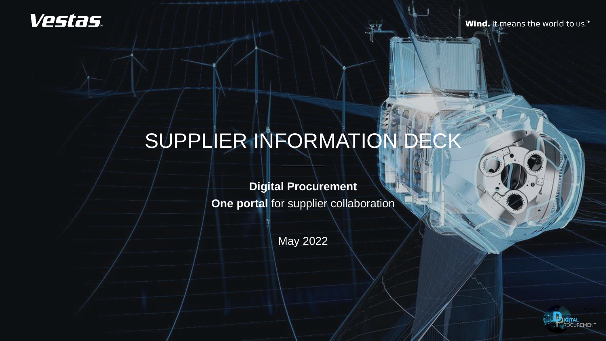### **Vestas**

Wind. It means the world to us.<sup>™</sup>

# SUPPLIER INFORMATION DECK

**Digital Procurement One portal for supplier collaboration** 

May 2022

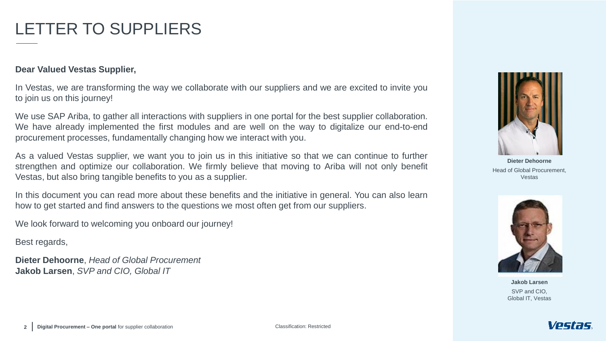### LETTER TO SUPPLIERS

#### **Dear Valued Vestas Supplier,**

In Vestas, we are transforming the way we collaborate with our suppliers and we are excited to invite you to join us on this journey!

We use SAP Ariba, to gather all interactions with suppliers in one portal for the best supplier collaboration. We have already implemented the first modules and are well on the way to digitalize our end-to-end procurement processes, fundamentally changing how we interact with you.

As a valued Vestas supplier, we want you to join us in this initiative so that we can continue to further strengthen and optimize our collaboration. We firmly believe that moving to Ariba will not only benefit Vestas, but also bring tangible benefits to you as a supplier.

In this document you can read more about these benefits and the initiative in general. You can also learn how to get started and find answers to the questions we most often get from our suppliers.

We look forward to welcoming you onboard our journey!

Best regards,

**Dieter Dehoorne**, *Head of Global Procurement*  **Jakob Larsen**, *SVP and CIO, Global IT* 



**Dieter Dehoorne** Head of Global Procurement, Vestas



**Jakob Larsen** SVP and CIO, Global IT, Vestas

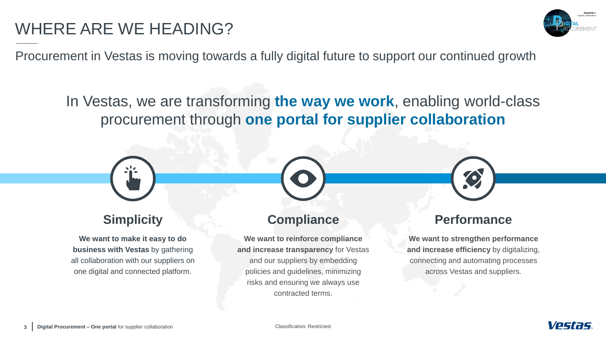## WHERE ARE WE HEADING?



Procurement in Vestas is moving towards a fully digital future to support our continued growth

### In Vestas, we are transforming **the way we work**, enabling world-class procurement through **one portal for supplier collaboration**

### **Simplicity**

**We want to make it easy to do business with Vestas** by gathering all collaboration with our suppliers on one digital and connected platform.

### **Compliance**

**We want to reinforce compliance and increase transparency** for Vestas and our suppliers by embedding policies and guidelines, minimizing risks and ensuring we always use contracted terms.

### **Performance**

 $\bullet$ 

**We want to strengthen performance and increase efficiency** by digitalizing, connecting and automating processes across Vestas and suppliers.

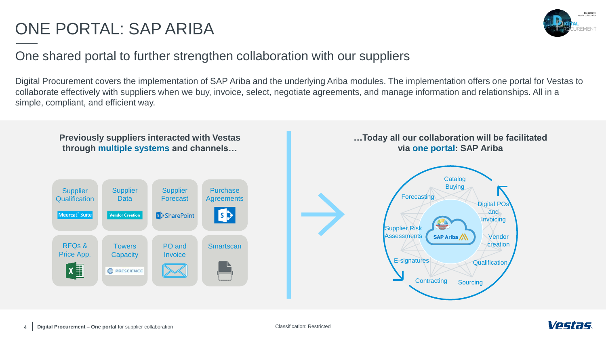## ONE PORTAL: SAP ARIBA

### One shared portal to further strengthen collaboration with our suppliers

Digital Procurement covers the implementation of SAP Ariba and the underlying Ariba modules. The implementation offers one portal for Vestas to collaborate effectively with suppliers when we buy, invoice, select, negotiate agreements, and manage information and relationships. All in a simple, compliant, and efficient way.





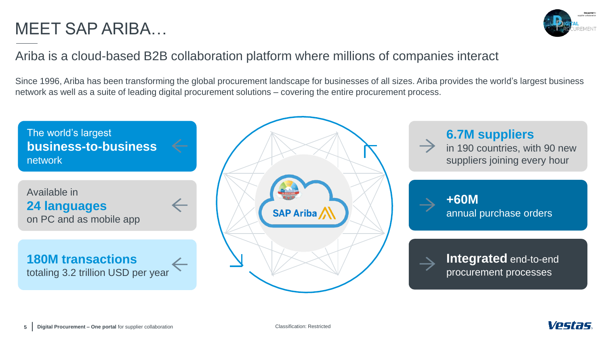### MEET SAP ARIBA…



### Ariba is a cloud-based B2B collaboration platform where millions of companies interact

Since 1996, Ariba has been transforming the global procurement landscape for businesses of all sizes. Ariba provides the world's largest business network as well as a suite of leading digital procurement solutions – covering the entire procurement process.

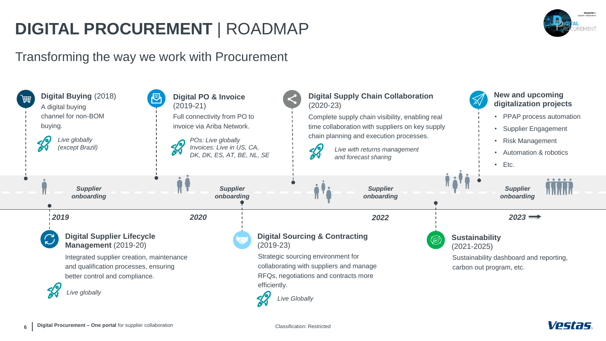## **DIGITAL PROCUREMENT** | ROADMAP



### Transforming the way we work with Procurement





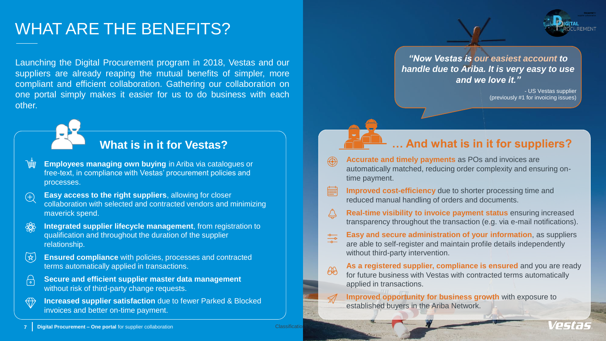### WHAT ARE THE BENEFITS?

Launching the Digital Procurement program in 2018, Vestas and our suppliers are already reaping the mutual benefits of simpler, more compliant and efficient collaboration. Gathering our collaboration on one portal simply makes it easier for us to do business with each other.

### **What is in it for Vestas?**

- **Employees managing own buying** in Ariba via catalogues or free-text, in compliance with Vestas' procurement policies and processes.
- **Easy access to the right suppliers**, allowing for closer  $\bigoplus$ collaboration with selected and contracted vendors and minimizing maverick spend.
- **Integrated supplier lifecycle management**, from registration to **REP** qualification and throughout the duration of the supplier relationship.
- $\left(\frac{1}{K}\right)$ **Ensured compliance** with policies, processes and contracted terms automatically applied in transactions.
- ူ **Secure and efficient supplier master data management**  without risk of third-party change requests.
- $\bigoplus$ **Increased supplier satisfaction** due to fewer Parked & Blocked invoices and better on-time payment.



*"Now Vestas is our easiest account to handle due to Ariba. It is very easy to use and we love it."*

> - US Vestas supplier (previously #1 for invoicing issues)

### **… And what is in it for suppliers?**

- **Accurate and timely payments** as POs and invoices are automatically matched, reducing order complexity and ensuring ontime payment.
- **Improved cost-efficiency** due to shorter processing time and 扁 reduced manual handling of orders and documents.
- **Real-time visibility to invoice payment status** ensuring increased transparency throughout the transaction (e.g. via e-mail notifications).
- **Easy and secure administration of your information**, as suppliers are able to self-register and maintain profile details independently without third-party intervention.
- As a registered supplier, compliance is ensured and you are ready  $AB$ for future business with Vestas with contracted terms automatically applied in transactions.

**Improved opportunity for business growth** with exposure to  $\mathcal{A}$ established buyers in the Ariba Network.

Classificat

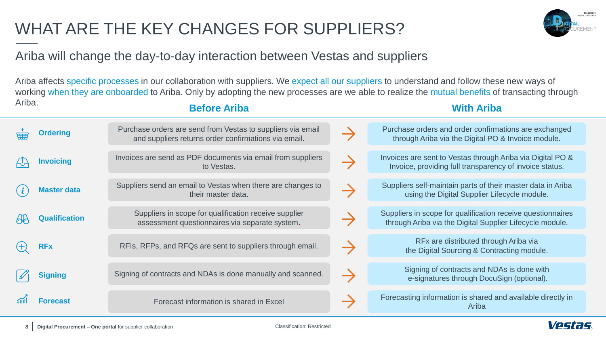## WHAT ARE THE KEY CHANGES FOR SUPPLIERS?



### Ariba will change the day-to-day interaction between Vestas and suppliers

Ariba affects specific processes in our collaboration with suppliers. We expect all our suppliers to understand and follow these new ways of working when they are onboarded to Ariba. Only by adopting the new processes are we able to realize the mutual benefits of transacting through Ariba. **Before Ariba With Ariba**

| <b>Ordering</b>      | Purchase orders are send from Vestas to suppliers via email<br>and suppliers returns order confirmations via email. | $\rightarrow$ | Purchase orders and order confirmations are exchanged<br>through Ariba via the Digital PO & Invoice module.             |
|----------------------|---------------------------------------------------------------------------------------------------------------------|---------------|-------------------------------------------------------------------------------------------------------------------------|
| Invoicing            | Invoices are send as PDF documents via email from suppliers<br>to Vestas.                                           | $\rightarrow$ | Invoices are sent to Vestas through Ariba via Digital PO &<br>Invoice, providing full transparency of invoice status.   |
| <b>Master data</b>   | Suppliers send an email to Vestas when there are changes to<br>their master data.                                   |               | Suppliers self-maintain parts of their master data in Ariba<br>using the Digital Supplier Lifecycle module.             |
| <b>Qualification</b> | Suppliers in scope for qualification receive supplier<br>assessment questionnaires via separate system.             |               | Suppliers in scope for qualification receive questionnaires<br>through Ariba via the Digital Supplier Lifecycle module. |
| <b>RFx</b>           | RFIs, RFPs, and RFQs are sent to suppliers through email.                                                           | $\rightarrow$ | RFx are distributed through Ariba via<br>the Digital Sourcing & Contracting module.                                     |
| <b>Signing</b>       | Signing of contracts and NDAs is done manually and scanned.                                                         | $\rightarrow$ | Signing of contracts and NDAs is done with<br>e-signatures through DocuSign (optional).                                 |
| <b>Forecast</b>      | Forecast information is shared in Excel                                                                             |               | Forecasting information is shared and available directly in<br>Ariba                                                    |

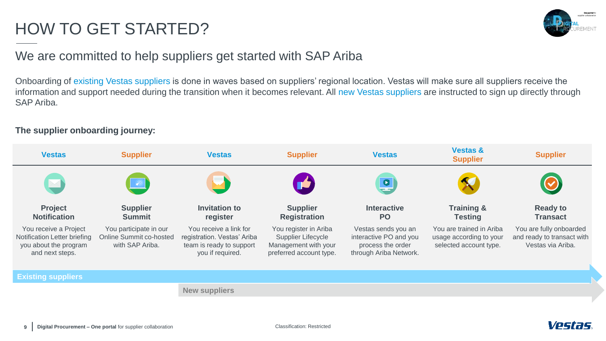## HOW TO GET STARTED?



### We are committed to help suppliers get started with SAP Ariba

Onboarding of existing Vestas suppliers is done in waves based on suppliers' regional location. Vestas will make sure all suppliers receive the information and support needed during the transition when it becomes relevant. All new Vestas suppliers are instructed to sign up directly through SAP Ariba.

#### **The supplier onboarding journey:**



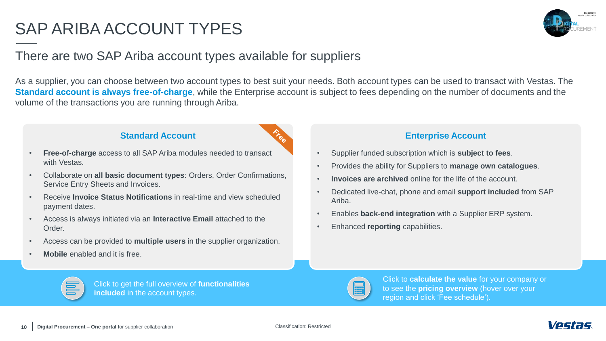## SAP ARIBA ACCOUNT TYPES



### There are two SAP Ariba account types available for suppliers

As a supplier, you can choose between two account types to best suit your needs. Both account types can be used to transact with Vestas. The **Standard account is always free-of-charge**, while the Enterprise account is subject to fees depending on the number of documents and the volume of the transactions you are running through Ariba.

#### **Standard Account**

- 
- **Free-of-charge** access to all SAP Ariba modules needed to transact with Vestas.
- Collaborate on **all basic document types**: Orders, Order Confirmations, Service Entry Sheets and Invoices.
- Receive **Invoice Status Notifications** in real-time and view scheduled payment dates.
- Access is always initiated via an **Interactive Email** attached to the Order.
- Access can be provided to **multiple users** in the supplier organization.
- **Mobile** enabled and it is free.

#### **Enterprise Account**

- Supplier funded subscription which is **subject to fees**.
- Provides the ability for Suppliers to **manage own catalogues**.
- **Invoices are archived** online for the life of the account.
- Dedicated live-chat, phone and email **support included** from SAP Ariba.
- Enables **back-end integration** with a Supplier ERP system.
- Enhanced **reporting** capabilities.



[Click to get the full overview of](https://support.ariba.com/Item/view/181319_en?min=0&toolbars=0&gutter=1&popwin=0&footer=1) **functionalities included** in the account types.



Click to **calculate the value** for your company or to see the **pricing overview** (hover over your [region and click 'Fee schedule'\).](https://www.ariba.com/ariba-network/ariba-network-for-suppliers/subscriptions-and-pricing)

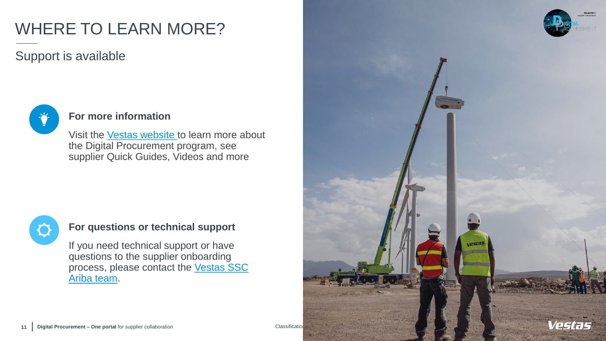## WHERE TO LEARN MORE?

### Support is available



### **For more information**

Visit the [Vestas website](https://www.vestas.com/en) to learn more about the Digital Procurement program, see supplier Quick Guides, Videos and more



#### **For questions or technical support**

If you need technical support or have questions to the supplier onboarding [process, please contact the Vestas SSC](mailto:ariba.ssc@vestas.com)  Ariba team.



Vestas

vesta!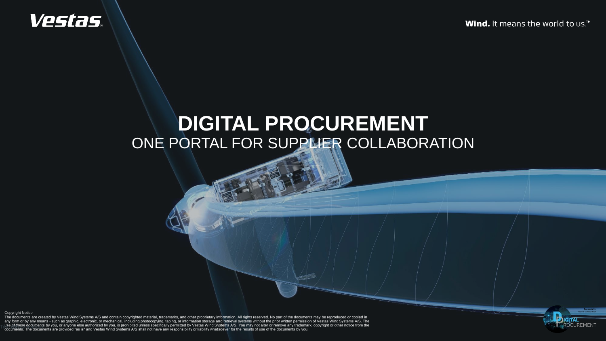**Wind.** It means the world to us.<sup>™</sup>

## **Vestas**

## **DIGITAL PROCUREMENT** ONE PORTAL FOR SUPPLIER COLLABORATION

Copyright Notice

The documents are created by Vestas Wind Systems A/S and contain copyrighted material, trademarks, and other proprietary information. All rights reserved. No part of the documents may be reproduced or copied in any form or by any means - such as graphic, electronic, or mechanical, including photocopying, taping, or information storage and retrieval systems without the prior written permission of Vestas Wind Systems A/S. The<br>Use

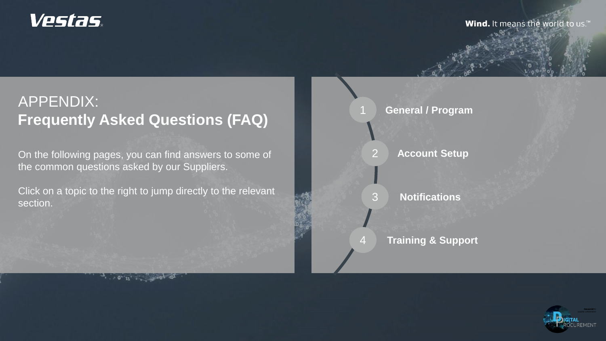## **Vestas**

**Wind.** It means the world to us.<sup>™</sup>

### [1](#page-13-0) **[General / Program](#page-13-0)** APPENDIX: **Frequently Asked Questions (FAQ)**

On the following pages, you can find answers to some of the common questions asked by our Suppliers.

Click on a topic to the right to jump directly to the relevant section.

.  $0^{\circ}$  11  $\sim$ 



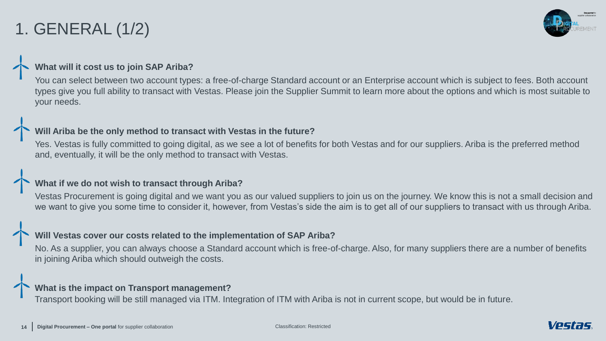## <span id="page-13-0"></span>1. GENERAL (1/2)



#### **What will it cost us to join SAP Ariba?**

You can select between two account types: a free-of-charge Standard account or an Enterprise account which is subject to fees. Both account types give you full ability to transact with Vestas. Please join the Supplier Summit to learn more about the options and which is most suitable to your needs.

#### **Will Ariba be the only method to transact with Vestas in the future?**

Yes. Vestas is fully committed to going digital, as we see a lot of benefits for both Vestas and for our suppliers. Ariba is the preferred method and, eventually, it will be the only method to transact with Vestas.

#### **What if we do not wish to transact through Ariba?**

Vestas Procurement is going digital and we want you as our valued suppliers to join us on the journey. We know this is not a small decision and we want to give you some time to consider it, however, from Vestas's side the aim is to get all of our suppliers to transact with us through Ariba.

#### **Will Vestas cover our costs related to the implementation of SAP Ariba?**

No. As a supplier, you can always choose a Standard account which is free-of-charge. Also, for many suppliers there are a number of benefits in joining Ariba which should outweigh the costs.

#### **What is the impact on Transport management?**

Transport booking will be still managed via ITM. Integration of ITM with Ariba is not in current scope, but would be in future.

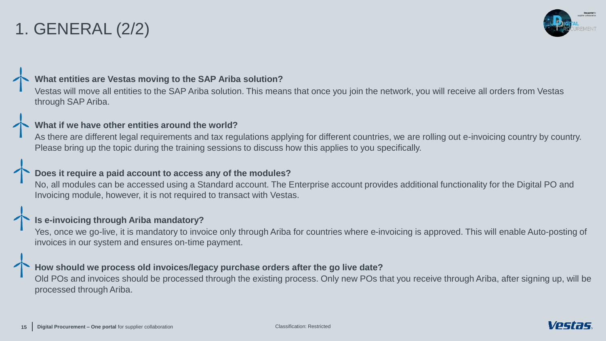### 1. GENERAL (2/2)



#### **What entities are Vestas moving to the SAP Ariba solution?**

Vestas will move all entities to the SAP Ariba solution. This means that once you join the network, you will receive all orders from Vestas through SAP Ariba.

#### **What if we have other entities around the world?**

As there are different legal requirements and tax regulations applying for different countries, we are rolling out e-invoicing country by country. Please bring up the topic during the training sessions to discuss how this applies to you specifically.

#### **Does it require a paid account to access any of the modules?**

No, all modules can be accessed using a Standard account. The Enterprise account provides additional functionality for the Digital PO and Invoicing module, however, it is not required to transact with Vestas.

#### **Is e-invoicing through Ariba mandatory?**

Yes, once we go-live, it is mandatory to invoice only through Ariba for countries where e-invoicing is approved. This will enable Auto-posting of invoices in our system and ensures on-time payment.

#### **How should we process old invoices/legacy purchase orders after the go live date?**

Old POs and invoices should be processed through the existing process. Only new POs that you receive through Ariba, after signing up, will be processed through Ariba.

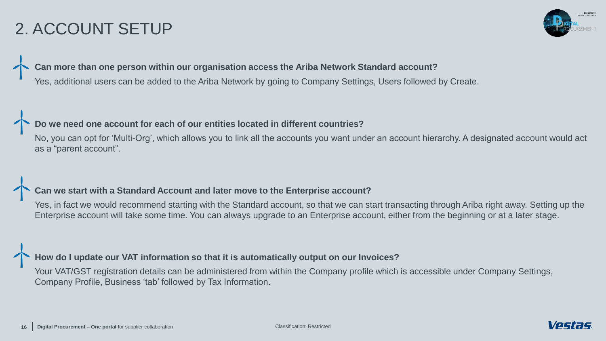### <span id="page-15-0"></span>2. ACCOUNT SETUP



### **Can more than one person within our organisation access the Ariba Network Standard account?**

Yes, additional users can be added to the Ariba Network by going to Company Settings, Users followed by Create.

#### **Do we need one account for each of our entities located in different countries?**

No, you can opt for 'Multi-Org', which allows you to link all the accounts you want under an account hierarchy. A designated account would act as a "parent account".

#### **Can we start with a Standard Account and later move to the Enterprise account?**

Yes, in fact we would recommend starting with the Standard account, so that we can start transacting through Ariba right away. Setting up the Enterprise account will take some time. You can always upgrade to an Enterprise account, either from the beginning or at a later stage.

### **How do I update our VAT information so that it is automatically output on our Invoices?**

Your VAT/GST registration details can be administered from within the Company profile which is accessible under Company Settings, Company Profile, Business 'tab' followed by Tax Information.

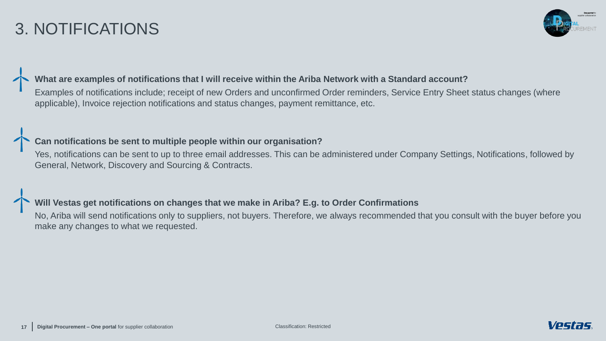### <span id="page-16-0"></span>3. NOTIFICATIONS



### **What are examples of notifications that I will receive within the Ariba Network with a Standard account?**

Examples of notifications include; receipt of new Orders and unconfirmed Order reminders, Service Entry Sheet status changes (where applicable), Invoice rejection notifications and status changes, payment remittance, etc.

#### **Can notifications be sent to multiple people within our organisation?**

Yes, notifications can be sent to up to three email addresses. This can be administered under Company Settings, Notifications, followed by General, Network, Discovery and Sourcing & Contracts.

### **Will Vestas get notifications on changes that we make in Ariba? E.g. to Order Confirmations**

No, Ariba will send notifications only to suppliers, not buyers. Therefore, we always recommended that you consult with the buyer before you make any changes to what we requested.